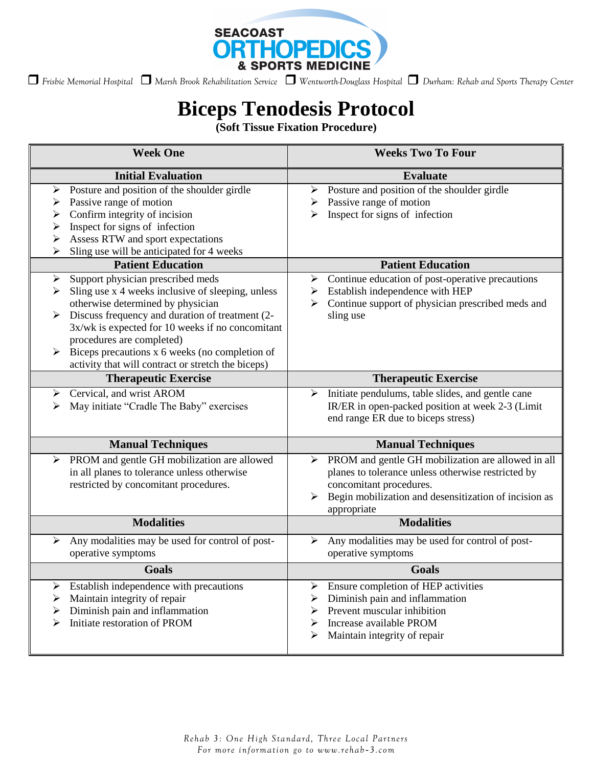

 *Frisbie Memorial Hospital Marsh Brook Rehabilitation Service Wentworth-Douglass Hospital Durham: Rehab and Sports Therapy Center* 

# **Biceps Tenodesis Protocol**

**(Soft Tissue Fixation Procedure)**

| <b>Week One</b>                                                                                                                                                                                                                                                                                                                                                                        | <b>Weeks Two To Four</b>                                                                                                                                                                                              |
|----------------------------------------------------------------------------------------------------------------------------------------------------------------------------------------------------------------------------------------------------------------------------------------------------------------------------------------------------------------------------------------|-----------------------------------------------------------------------------------------------------------------------------------------------------------------------------------------------------------------------|
| <b>Initial Evaluation</b>                                                                                                                                                                                                                                                                                                                                                              | <b>Evaluate</b>                                                                                                                                                                                                       |
| Posture and position of the shoulder girdle<br>➤<br>Passive range of motion<br>➤<br>Confirm integrity of incision<br>➤<br>Inspect for signs of infection<br>➤<br>Assess RTW and sport expectations<br>➤                                                                                                                                                                                | Posture and position of the shoulder girdle<br>➤<br>Passive range of motion<br>➤<br>Inspect for signs of infection                                                                                                    |
| Sling use will be anticipated for 4 weeks<br><b>Patient Education</b>                                                                                                                                                                                                                                                                                                                  | <b>Patient Education</b>                                                                                                                                                                                              |
| Support physician prescribed meds<br>➤<br>Sling use x 4 weeks inclusive of sleeping, unless<br>⋗<br>otherwise determined by physician<br>Discuss frequency and duration of treatment (2-<br>3x/wk is expected for 10 weeks if no concomitant<br>procedures are completed)<br>Biceps precautions x 6 weeks (no completion of<br>➤<br>activity that will contract or stretch the biceps) | Continue education of post-operative precautions<br>➤<br>Establish independence with HEP<br>➤<br>Continue support of physician prescribed meds and<br>⋗<br>sling use                                                  |
| <b>Therapeutic Exercise</b>                                                                                                                                                                                                                                                                                                                                                            | <b>Therapeutic Exercise</b>                                                                                                                                                                                           |
| Cervical, and wrist AROM<br>➤<br>May initiate "Cradle The Baby" exercises                                                                                                                                                                                                                                                                                                              | Initiate pendulums, table slides, and gentle cane<br>➤<br>IR/ER in open-packed position at week 2-3 (Limit<br>end range ER due to biceps stress)                                                                      |
| <b>Manual Techniques</b>                                                                                                                                                                                                                                                                                                                                                               | <b>Manual Techniques</b>                                                                                                                                                                                              |
| PROM and gentle GH mobilization are allowed<br>➤<br>in all planes to tolerance unless otherwise<br>restricted by concomitant procedures.                                                                                                                                                                                                                                               | PROM and gentle GH mobilization are allowed in all<br>➤<br>planes to tolerance unless otherwise restricted by<br>concomitant procedures.<br>Begin mobilization and desensitization of incision as<br>➤<br>appropriate |
| <b>Modalities</b>                                                                                                                                                                                                                                                                                                                                                                      | <b>Modalities</b>                                                                                                                                                                                                     |
| Any modalities may be used for control of post-<br>⋗<br>operative symptoms                                                                                                                                                                                                                                                                                                             | Any modalities may be used for control of post-<br>≻<br>operative symptoms                                                                                                                                            |
| <b>Goals</b>                                                                                                                                                                                                                                                                                                                                                                           | Goals                                                                                                                                                                                                                 |
| Establish independence with precautions<br>➤<br>Maintain integrity of repair<br>➤<br>Diminish pain and inflammation<br>➤<br>Initiate restoration of PROM<br>⋗                                                                                                                                                                                                                          | Ensure completion of HEP activities<br>➤<br>Diminish pain and inflammation<br>➤<br>Prevent muscular inhibition<br>⋗<br>Increase available PROM<br>➤<br>Maintain integrity of repair<br>➤                              |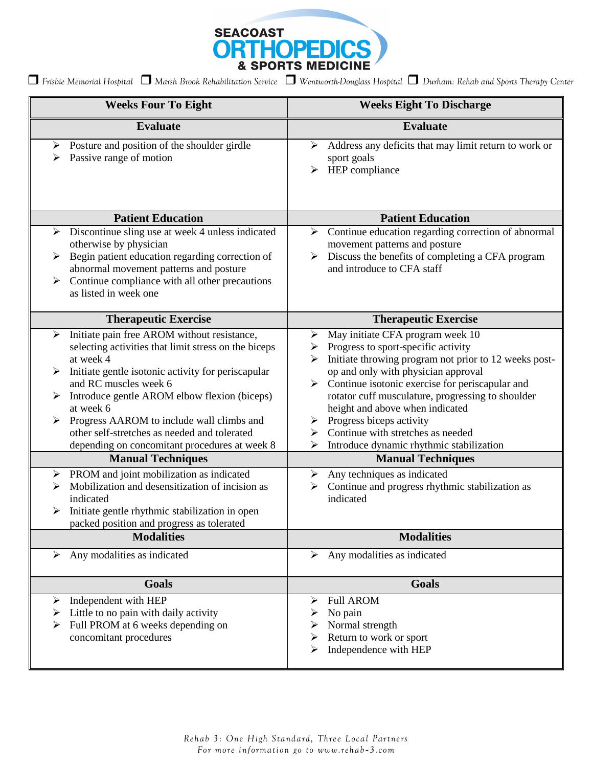

| <b>Weeks Four To Eight</b>                                                                                                                                                                                                                                                                                                                                                                                                                                                                                                                                                                                                                                                                          | <b>Weeks Eight To Discharge</b>                                                                                                                                                                                                                                                                                                                                                                                                                                                                                                                                                                                             |
|-----------------------------------------------------------------------------------------------------------------------------------------------------------------------------------------------------------------------------------------------------------------------------------------------------------------------------------------------------------------------------------------------------------------------------------------------------------------------------------------------------------------------------------------------------------------------------------------------------------------------------------------------------------------------------------------------------|-----------------------------------------------------------------------------------------------------------------------------------------------------------------------------------------------------------------------------------------------------------------------------------------------------------------------------------------------------------------------------------------------------------------------------------------------------------------------------------------------------------------------------------------------------------------------------------------------------------------------------|
| <b>Evaluate</b>                                                                                                                                                                                                                                                                                                                                                                                                                                                                                                                                                                                                                                                                                     | <b>Evaluate</b>                                                                                                                                                                                                                                                                                                                                                                                                                                                                                                                                                                                                             |
| Posture and position of the shoulder girdle<br>➤<br>Passive range of motion                                                                                                                                                                                                                                                                                                                                                                                                                                                                                                                                                                                                                         | Address any deficits that may limit return to work or<br>➤<br>sport goals<br>HEP compliance<br>➤                                                                                                                                                                                                                                                                                                                                                                                                                                                                                                                            |
| <b>Patient Education</b>                                                                                                                                                                                                                                                                                                                                                                                                                                                                                                                                                                                                                                                                            | <b>Patient Education</b>                                                                                                                                                                                                                                                                                                                                                                                                                                                                                                                                                                                                    |
| Discontinue sling use at week 4 unless indicated<br>$\blacktriangleright$<br>otherwise by physician<br>Begin patient education regarding correction of<br>$\blacktriangleright$<br>abnormal movement patterns and posture<br>Continue compliance with all other precautions<br>➤<br>as listed in week one                                                                                                                                                                                                                                                                                                                                                                                           | Continue education regarding correction of abnormal<br>≻<br>movement patterns and posture<br>Discuss the benefits of completing a CFA program<br>$\blacktriangleright$<br>and introduce to CFA staff                                                                                                                                                                                                                                                                                                                                                                                                                        |
| <b>Therapeutic Exercise</b>                                                                                                                                                                                                                                                                                                                                                                                                                                                                                                                                                                                                                                                                         | <b>Therapeutic Exercise</b>                                                                                                                                                                                                                                                                                                                                                                                                                                                                                                                                                                                                 |
| Initiate pain free AROM without resistance,<br>➤<br>selecting activities that limit stress on the biceps<br>at week 4<br>Initiate gentle isotonic activity for periscapular<br>$\blacktriangleright$<br>and RC muscles week 6<br>Introduce gentle AROM elbow flexion (biceps)<br>at week 6<br>Progress AAROM to include wall climbs and<br>➤<br>other self-stretches as needed and tolerated<br>depending on concomitant procedures at week 8<br><b>Manual Techniques</b><br>PROM and joint mobilization as indicated<br>➤<br>Mobilization and desensitization of incision as<br>⋗<br>indicated<br>Initiate gentle rhythmic stabilization in open<br>➤<br>packed position and progress as tolerated | May initiate CFA program week 10<br>➤<br>Progress to sport-specific activity<br>➤<br>Initiate throwing program not prior to 12 weeks post-<br>⋗<br>op and only with physician approval<br>Continue isotonic exercise for periscapular and<br>$\blacktriangleright$<br>rotator cuff musculature, progressing to shoulder<br>height and above when indicated<br>Progress biceps activity<br>≻<br>Continue with stretches as needed<br>➤<br>Introduce dynamic rhythmic stabilization<br>⋗<br><b>Manual Techniques</b><br>Any techniques as indicated<br>➤<br>Continue and progress rhythmic stabilization as<br>➤<br>indicated |
| <b>Modalities</b>                                                                                                                                                                                                                                                                                                                                                                                                                                                                                                                                                                                                                                                                                   | <b>Modalities</b>                                                                                                                                                                                                                                                                                                                                                                                                                                                                                                                                                                                                           |
| Any modalities as indicated<br>➤                                                                                                                                                                                                                                                                                                                                                                                                                                                                                                                                                                                                                                                                    | Any modalities as indicated<br>➤                                                                                                                                                                                                                                                                                                                                                                                                                                                                                                                                                                                            |
| <b>Goals</b>                                                                                                                                                                                                                                                                                                                                                                                                                                                                                                                                                                                                                                                                                        | Goals                                                                                                                                                                                                                                                                                                                                                                                                                                                                                                                                                                                                                       |
| Independent with HEP<br>➤<br>Little to no pain with daily activity<br>➤<br>Full PROM at 6 weeks depending on<br>concomitant procedures                                                                                                                                                                                                                                                                                                                                                                                                                                                                                                                                                              | <b>Full AROM</b><br>➤<br>No pain<br>Normal strength<br>Return to work or sport<br>Independence with HEP<br>⋗                                                                                                                                                                                                                                                                                                                                                                                                                                                                                                                |